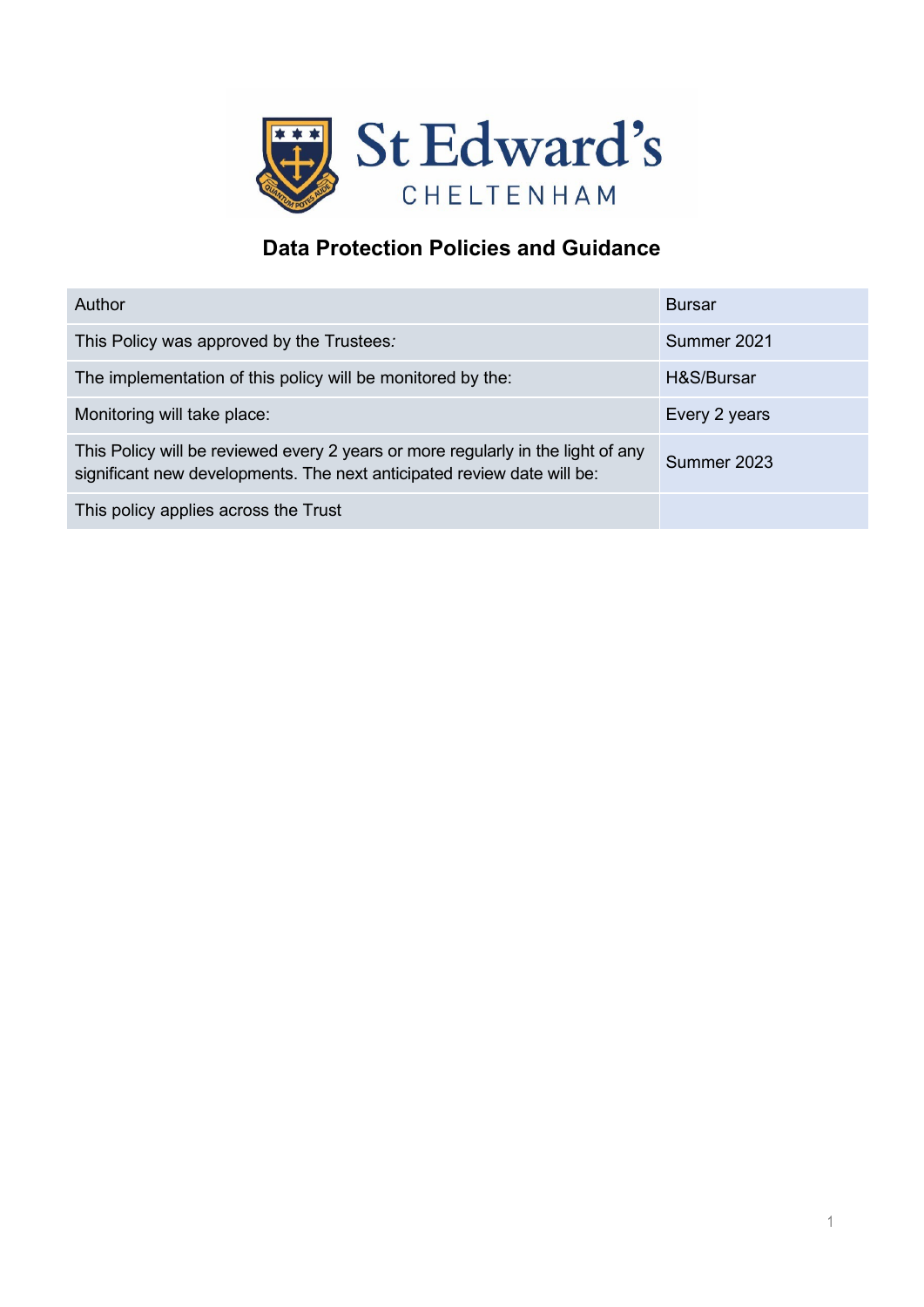

# **Data Protection Policies and Guidance**

| Author                                                                                                                                                      | <b>Bursar</b> |
|-------------------------------------------------------------------------------------------------------------------------------------------------------------|---------------|
| This Policy was approved by the Trustees:                                                                                                                   | Summer 2021   |
| The implementation of this policy will be monitored by the:                                                                                                 | H&S/Bursar    |
| Monitoring will take place:                                                                                                                                 | Every 2 years |
| This Policy will be reviewed every 2 years or more regularly in the light of any<br>significant new developments. The next anticipated review date will be: | Summer 2023   |
| This policy applies across the Trust                                                                                                                        |               |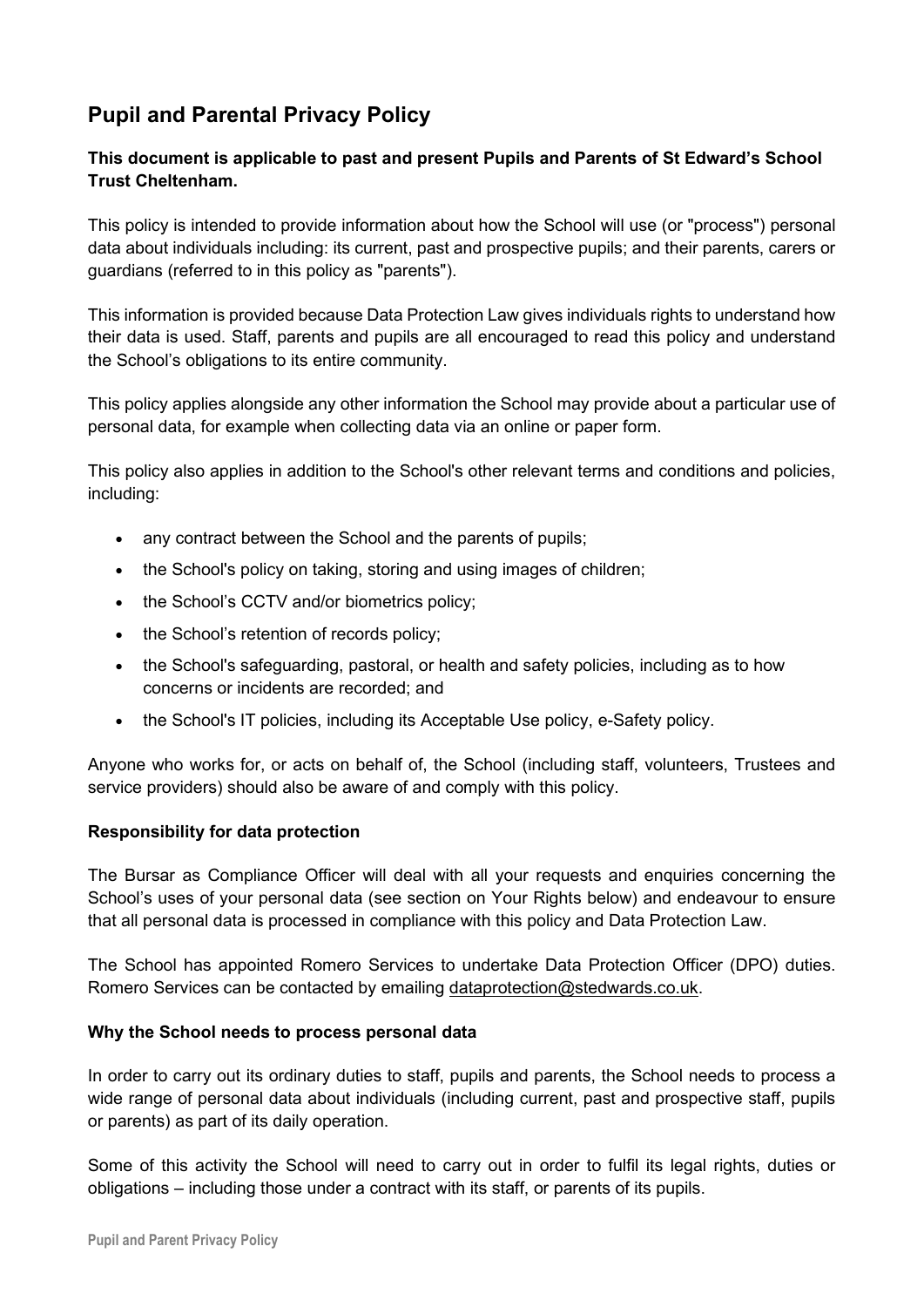# **Pupil and Parental Privacy Policy**

# **This document is applicable to past and present Pupils and Parents of St Edward's School Trust Cheltenham.**

This policy is intended to provide information about how the School will use (or "process") personal data about individuals including: its current, past and prospective pupils; and their parents, carers or guardians (referred to in this policy as "parents").

This information is provided because Data Protection Law gives individuals rights to understand how their data is used. Staff, parents and pupils are all encouraged to read this policy and understand the School's obligations to its entire community.

This policy applies alongside any other information the School may provide about a particular use of personal data, for example when collecting data via an online or paper form.

This policy also applies in addition to the School's other relevant terms and conditions and policies, including:

- any contract between the School and the parents of pupils;
- the School's policy on taking, storing and using images of children;
- the School's CCTV and/or biometrics policy;
- the School's retention of records policy;
- the School's safeguarding, pastoral, or health and safety policies, including as to how concerns or incidents are recorded; and
- the School's IT policies, including its Acceptable Use policy, e-Safety policy.

Anyone who works for, or acts on behalf of, the School (including staff, volunteers, Trustees and service providers) should also be aware of and comply with this policy.

### **Responsibility for data protection**

The Bursar as Compliance Officer will deal with all your requests and enquiries concerning the School's uses of your personal data (see section on Your Rights below) and endeavour to ensure that all personal data is processed in compliance with this policy and Data Protection Law.

The School has appointed Romero Services to undertake Data Protection Officer (DPO) duties. Romero Services can be contacted by emailing [dataprotection@stedwards.co.uk.](mailto:dataprotection@stedwards.co.uk)

### **Why the School needs to process personal data**

In order to carry out its ordinary duties to staff, pupils and parents, the School needs to process a wide range of personal data about individuals (including current, past and prospective staff, pupils or parents) as part of its daily operation.

Some of this activity the School will need to carry out in order to fulfil its legal rights, duties or obligations – including those under a contract with its staff, or parents of its pupils.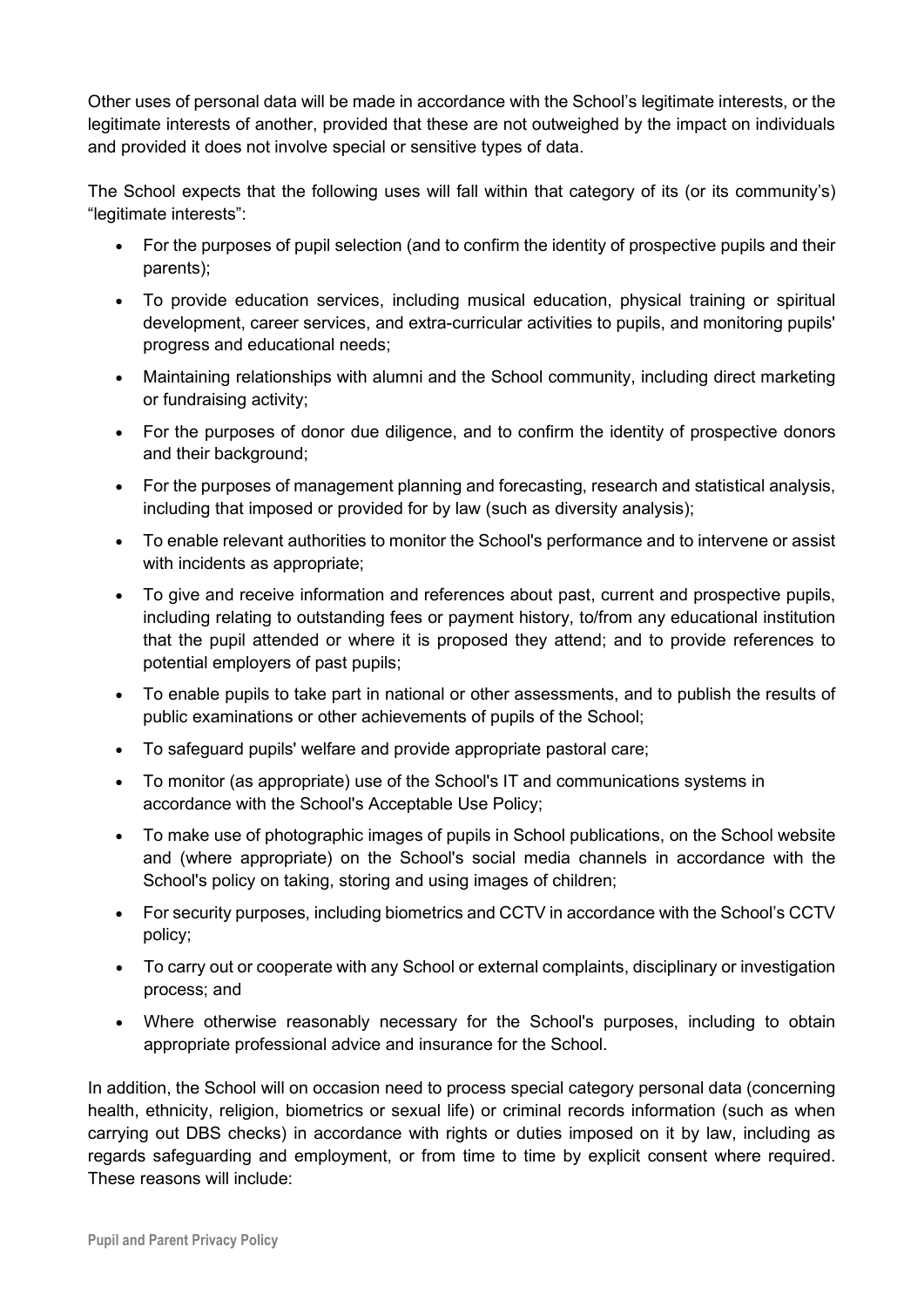Other uses of personal data will be made in accordance with the School's legitimate interests, or the legitimate interests of another, provided that these are not outweighed by the impact on individuals and provided it does not involve special or sensitive types of data.

The School expects that the following uses will fall within that category of its (or its community's) "legitimate interests":

- For the purposes of pupil selection (and to confirm the identity of prospective pupils and their parents);
- To provide education services, including musical education, physical training or spiritual development, career services, and extra-curricular activities to pupils, and monitoring pupils' progress and educational needs;
- Maintaining relationships with alumni and the School community, including direct marketing or fundraising activity;
- For the purposes of donor due diligence, and to confirm the identity of prospective donors and their background;
- For the purposes of management planning and forecasting, research and statistical analysis, including that imposed or provided for by law (such as diversity analysis);
- To enable relevant authorities to monitor the School's performance and to intervene or assist with incidents as appropriate;
- To give and receive information and references about past, current and prospective pupils, including relating to outstanding fees or payment history, to/from any educational institution that the pupil attended or where it is proposed they attend; and to provide references to potential employers of past pupils;
- To enable pupils to take part in national or other assessments, and to publish the results of public examinations or other achievements of pupils of the School;
- To safeguard pupils' welfare and provide appropriate pastoral care;
- To monitor (as appropriate) use of the School's IT and communications systems in accordance with the School's Acceptable Use Policy;
- To make use of photographic images of pupils in School publications, on the School website and (where appropriate) on the School's social media channels in accordance with the School's policy on taking, storing and using images of children;
- For security purposes, including biometrics and CCTV in accordance with the School's CCTV policy;
- To carry out or cooperate with any School or external complaints, disciplinary or investigation process; and
- Where otherwise reasonably necessary for the School's purposes, including to obtain appropriate professional advice and insurance for the School.

In addition, the School will on occasion need to process special category personal data (concerning health, ethnicity, religion, biometrics or sexual life) or criminal records information (such as when carrying out DBS checks) in accordance with rights or duties imposed on it by law, including as regards safeguarding and employment, or from time to time by explicit consent where required. These reasons will include: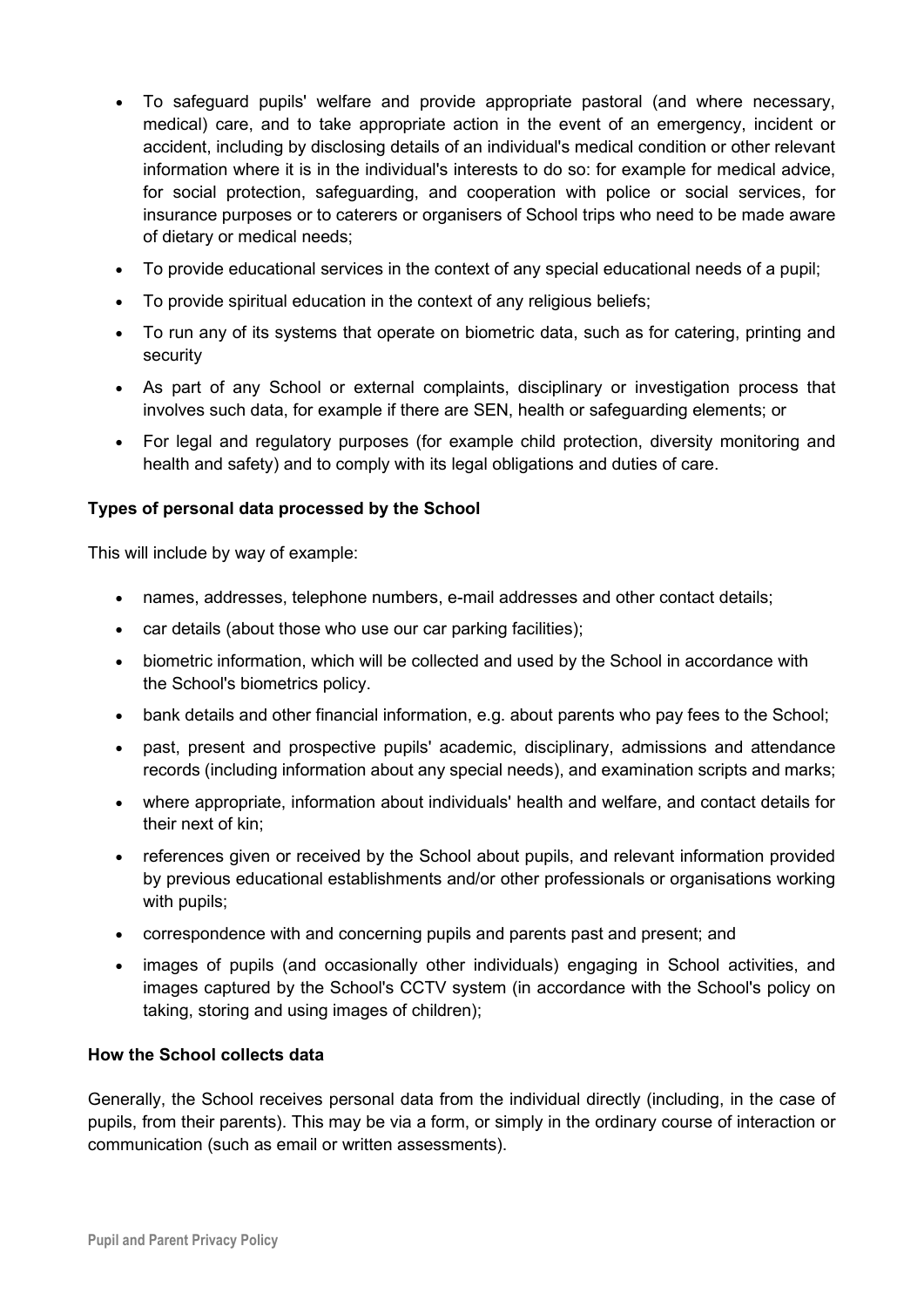- To safeguard pupils' welfare and provide appropriate pastoral (and where necessary, medical) care, and to take appropriate action in the event of an emergency, incident or accident, including by disclosing details of an individual's medical condition or other relevant information where it is in the individual's interests to do so: for example for medical advice, for social protection, safeguarding, and cooperation with police or social services, for insurance purposes or to caterers or organisers of School trips who need to be made aware of dietary or medical needs;
- To provide educational services in the context of any special educational needs of a pupil;
- To provide spiritual education in the context of any religious beliefs;
- To run any of its systems that operate on biometric data, such as for catering, printing and security
- As part of any School or external complaints, disciplinary or investigation process that involves such data, for example if there are SEN, health or safeguarding elements; or
- For legal and regulatory purposes (for example child protection, diversity monitoring and health and safety) and to comply with its legal obligations and duties of care.

## **Types of personal data processed by the School**

This will include by way of example:

- names, addresses, telephone numbers, e-mail addresses and other contact details;
- car details (about those who use our car parking facilities);
- biometric information, which will be collected and used by the School in accordance with the School's biometrics policy.
- bank details and other financial information, e.g. about parents who pay fees to the School;
- past, present and prospective pupils' academic, disciplinary, admissions and attendance records (including information about any special needs), and examination scripts and marks;
- where appropriate, information about individuals' health and welfare, and contact details for their next of kin;
- references given or received by the School about pupils, and relevant information provided by previous educational establishments and/or other professionals or organisations working with pupils;
- correspondence with and concerning pupils and parents past and present; and
- images of pupils (and occasionally other individuals) engaging in School activities, and images captured by the School's CCTV system (in accordance with the School's policy on taking, storing and using images of children);

#### **How the School collects data**

Generally, the School receives personal data from the individual directly (including, in the case of pupils, from their parents). This may be via a form, or simply in the ordinary course of interaction or communication (such as email or written assessments).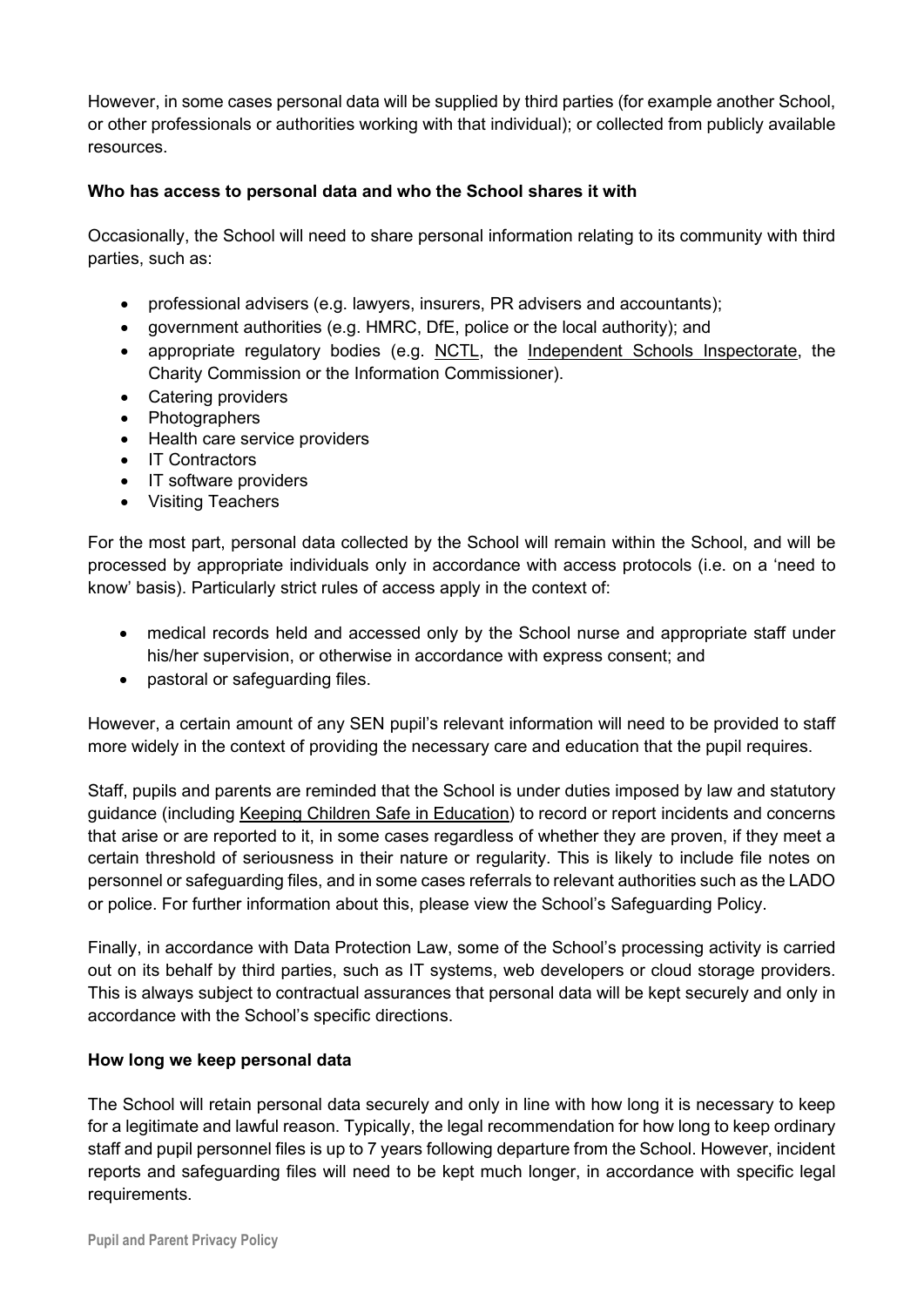However, in some cases personal data will be supplied by third parties (for example another School, or other professionals or authorities working with that individual); or collected from publicly available resources.

## **Who has access to personal data and who the School shares it with**

Occasionally, the School will need to share personal information relating to its community with third parties, such as:

- professional advisers (e.g. lawyers, insurers, PR advisers and accountants);
- government authorities (e.g. HMRC, DfE, police or the local authority); and
- appropriate regulatory bodies (e.g. [NCTL,](https://www.gov.uk/government/organisations/national-college-for-teaching-and-leadership) the [Independent Schools Inspectorate,](https://www.isi.net/) the Charity Commission or the Information Commissioner).
- Catering providers
- Photographers
- Health care service providers
- IT Contractors
- IT software providers
- Visiting Teachers

For the most part, personal data collected by the School will remain within the School, and will be processed by appropriate individuals only in accordance with access protocols (i.e. on a 'need to know' basis). Particularly strict rules of access apply in the context of:

- medical records held and accessed only by the School nurse and appropriate staff under his/her supervision, or otherwise in accordance with express consent; and
- pastoral or safeguarding files.

However, a certain amount of any SEN pupil's relevant information will need to be provided to staff more widely in the context of providing the necessary care and education that the pupil requires.

Staff, pupils and parents are reminded that the School is under duties imposed by law and statutory guidance (including Keeping Children Safe in Education) to record or report incidents and concerns that arise or are reported to it, in some cases regardless of whether they are proven, if they meet a certain threshold of seriousness in their nature or regularity. This is likely to include file notes on personnel or safeguarding files, and in some cases referrals to relevant authorities such as the LADO or police. For further information about this, please view the School's Safeguarding Policy.

Finally, in accordance with Data Protection Law, some of the School's processing activity is carried out on its behalf by third parties, such as IT systems, web developers or cloud storage providers. This is always subject to contractual assurances that personal data will be kept securely and only in accordance with the School's specific directions.

### **How long we keep personal data**

The School will retain personal data securely and only in line with how long it is necessary to keep for a legitimate and lawful reason. Typically, the legal recommendation for how long to keep ordinary staff and pupil personnel files is up to 7 years following departure from the School. However, incident reports and safeguarding files will need to be kept much longer, in accordance with specific legal requirements.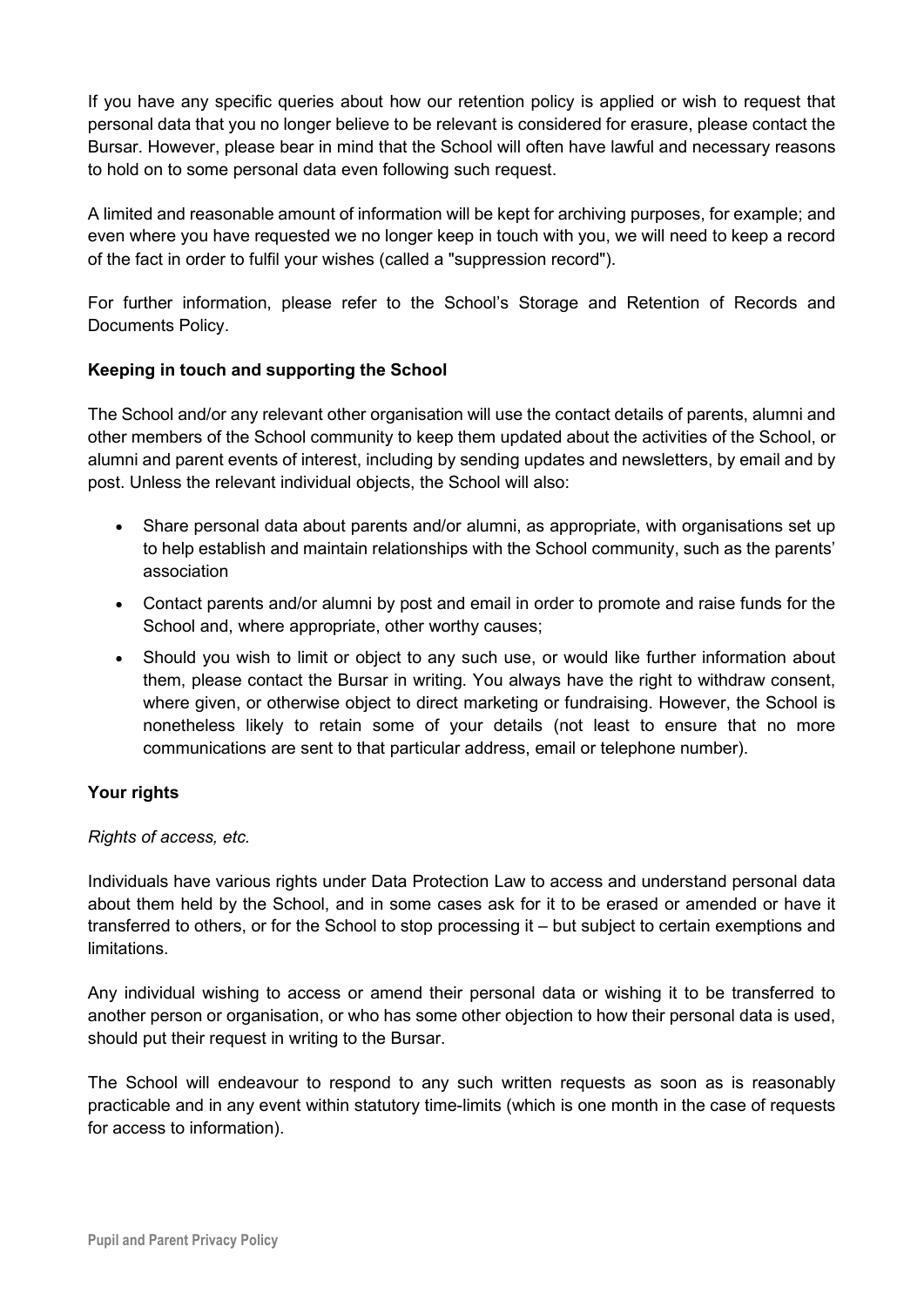If you have any specific queries about how our retention policy is applied or wish to request that personal data that you no longer believe to be relevant is considered for erasure, please contact the Bursar. However, please bear in mind that the School will often have lawful and necessary reasons to hold on to some personal data even following such request.

A limited and reasonable amount of information will be kept for archiving purposes, for example; and even where you have requested we no longer keep in touch with you, we will need to keep a record of the fact in order to fulfil your wishes (called a "suppression record").

For further information, please refer to the School's Storage and Retention of Records and Documents Policy.

## **Keeping in touch and supporting the School**

The School and/or any relevant other organisation will use the contact details of parents, alumni and other members of the School community to keep them updated about the activities of the School, or alumni and parent events of interest, including by sending updates and newsletters, by email and by post. Unless the relevant individual objects, the School will also:

- Share personal data about parents and/or alumni, as appropriate, with organisations set up to help establish and maintain relationships with the School community, such as the parents' association
- Contact parents and/or alumni by post and email in order to promote and raise funds for the School and, where appropriate, other worthy causes;
- Should you wish to limit or object to any such use, or would like further information about them, please contact the Bursar in writing. You always have the right to withdraw consent, where given, or otherwise object to direct marketing or fundraising. However, the School is nonetheless likely to retain some of your details (not least to ensure that no more communications are sent to that particular address, email or telephone number).

### **Your rights**

### *Rights of access, etc.*

Individuals have various rights under Data Protection Law to access and understand personal data about them held by the School, and in some cases ask for it to be erased or amended or have it transferred to others, or for the School to stop processing it – but subject to certain exemptions and limitations.

Any individual wishing to access or amend their personal data or wishing it to be transferred to another person or organisation, or who has some other objection to how their personal data is used, should put their request in writing to the Bursar.

The School will endeavour to respond to any such written requests as soon as is reasonably practicable and in any event within statutory time-limits (which is one month in the case of requests for access to information).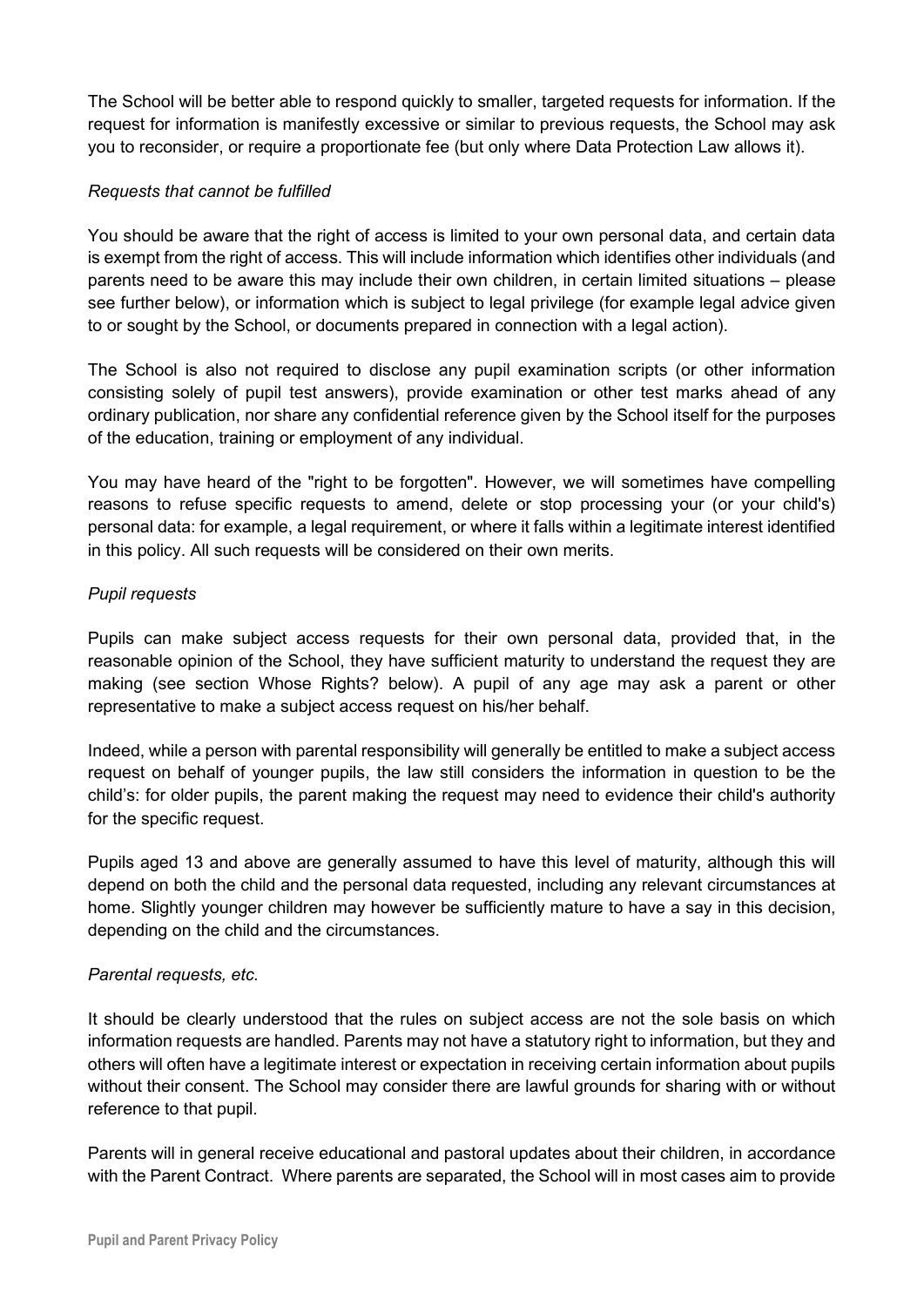The School will be better able to respond quickly to smaller, targeted requests for information. If the request for information is manifestly excessive or similar to previous requests, the School may ask you to reconsider, or require a proportionate fee (but only where Data Protection Law allows it).

## *Requests that cannot be fulfilled*

You should be aware that the right of access is limited to your own personal data, and certain data is exempt from the right of access. This will include information which identifies other individuals (and parents need to be aware this may include their own children, in certain limited situations – please see further below), or information which is subject to legal privilege (for example legal advice given to or sought by the School, or documents prepared in connection with a legal action).

The School is also not required to disclose any pupil examination scripts (or other information consisting solely of pupil test answers), provide examination or other test marks ahead of any ordinary publication, nor share any confidential reference given by the School itself for the purposes of the education, training or employment of any individual.

You may have heard of the "right to be forgotten". However, we will sometimes have compelling reasons to refuse specific requests to amend, delete or stop processing your (or your child's) personal data: for example, a legal requirement, or where it falls within a legitimate interest identified in this policy. All such requests will be considered on their own merits.

## *Pupil requests*

Pupils can make subject access requests for their own personal data, provided that, in the reasonable opinion of the School, they have sufficient maturity to understand the request they are making (see section Whose Rights? below). A pupil of any age may ask a parent or other representative to make a subject access request on his/her behalf.

Indeed, while a person with parental responsibility will generally be entitled to make a subject access request on behalf of younger pupils, the law still considers the information in question to be the child's: for older pupils, the parent making the request may need to evidence their child's authority for the specific request.

Pupils aged 13 and above are generally assumed to have this level of maturity, although this will depend on both the child and the personal data requested, including any relevant circumstances at home. Slightly younger children may however be sufficiently mature to have a say in this decision, depending on the child and the circumstances.

### *Parental requests, etc.*

It should be clearly understood that the rules on subject access are not the sole basis on which information requests are handled. Parents may not have a statutory right to information, but they and others will often have a legitimate interest or expectation in receiving certain information about pupils without their consent. The School may consider there are lawful grounds for sharing with or without reference to that pupil.

Parents will in general receive educational and pastoral updates about their children, in accordance with the Parent Contract. Where parents are separated, the School will in most cases aim to provide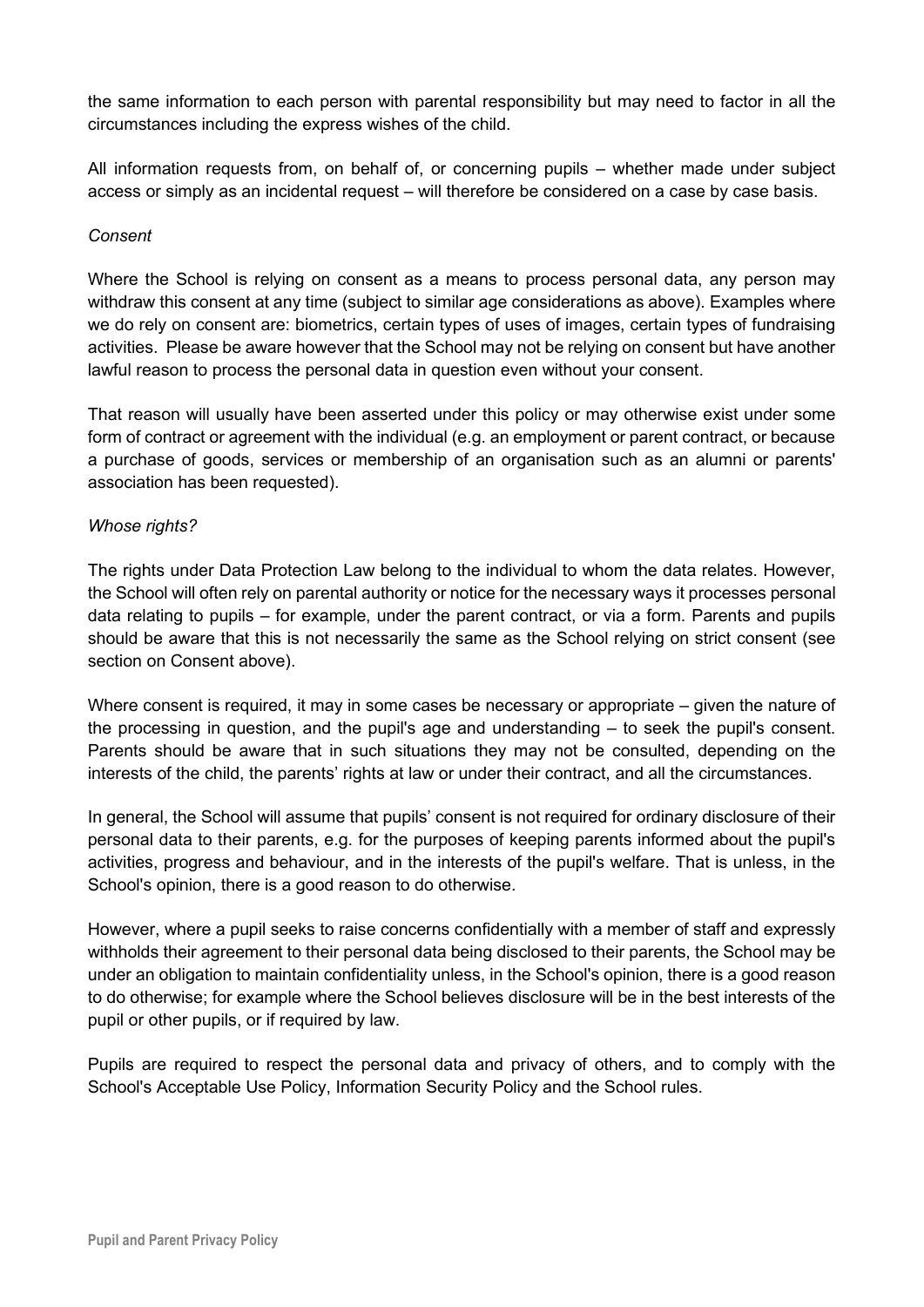the same information to each person with parental responsibility but may need to factor in all the circumstances including the express wishes of the child.

All information requests from, on behalf of, or concerning pupils – whether made under subject access or simply as an incidental request – will therefore be considered on a case by case basis.

#### *Consent*

Where the School is relying on consent as a means to process personal data, any person may withdraw this consent at any time (subject to similar age considerations as above). Examples where we do rely on consent are: biometrics, certain types of uses of images, certain types of fundraising activities. Please be aware however that the School may not be relying on consent but have another lawful reason to process the personal data in question even without your consent.

That reason will usually have been asserted under this policy or may otherwise exist under some form of contract or agreement with the individual (e.g. an employment or parent contract, or because a purchase of goods, services or membership of an organisation such as an alumni or parents' association has been requested).

#### *Whose rights?*

The rights under Data Protection Law belong to the individual to whom the data relates. However, the School will often rely on parental authority or notice for the necessary ways it processes personal data relating to pupils – for example, under the parent contract, or via a form. Parents and pupils should be aware that this is not necessarily the same as the School relying on strict consent (see section on Consent above).

Where consent is required, it may in some cases be necessary or appropriate – given the nature of the processing in question, and the pupil's age and understanding – to seek the pupil's consent. Parents should be aware that in such situations they may not be consulted, depending on the interests of the child, the parents' rights at law or under their contract, and all the circumstances.

In general, the School will assume that pupils' consent is not required for ordinary disclosure of their personal data to their parents, e.g. for the purposes of keeping parents informed about the pupil's activities, progress and behaviour, and in the interests of the pupil's welfare. That is unless, in the School's opinion, there is a good reason to do otherwise.

However, where a pupil seeks to raise concerns confidentially with a member of staff and expressly withholds their agreement to their personal data being disclosed to their parents, the School may be under an obligation to maintain confidentiality unless, in the School's opinion, there is a good reason to do otherwise; for example where the School believes disclosure will be in the best interests of the pupil or other pupils, or if required by law.

Pupils are required to respect the personal data and privacy of others, and to comply with the School's Acceptable Use Policy, Information Security Policy and the School rules.